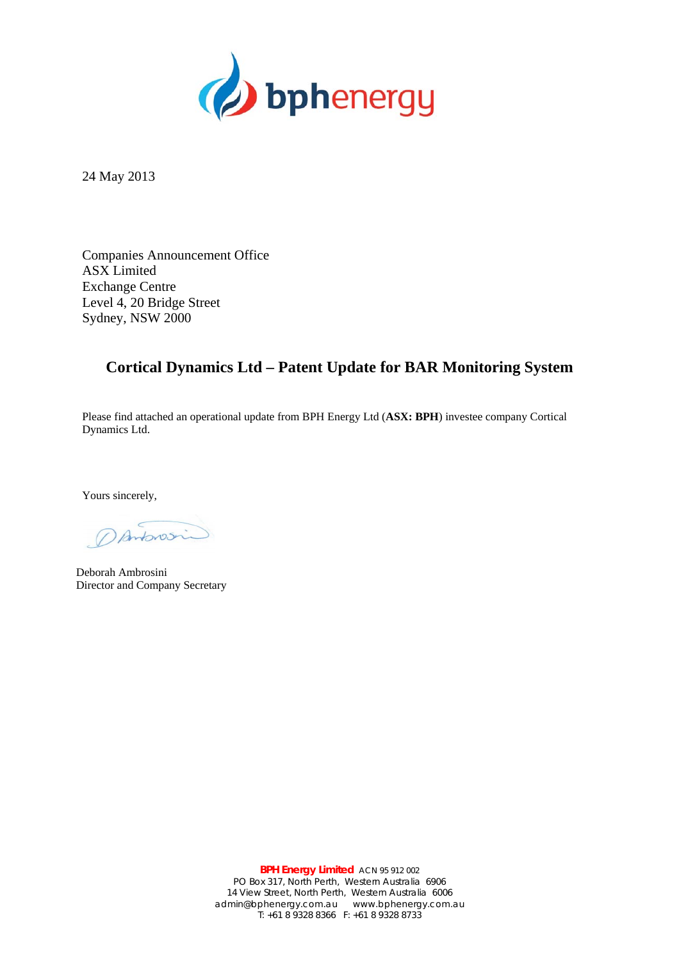

24 May 2013

Companies Announcement Office ASX Limited Exchange Centre Level 4, 20 Bridge Street Sydney, NSW 2000

## **Cortical Dynamics Ltd – Patent Update for BAR Monitoring System**

Please find attached an operational update from BPH Energy Ltd (**ASX: BPH**) investee company Cortical Dynamics Ltd.

Yours sincerely,

Danforosin

Deborah Ambrosini Director and Company Secretary

**BPH Energy Limited** ACN 95 912 002 PO Box 317, North Perth, Western Australia 6906 14 View Street, North Perth, Western Australia 6006 admin@bphenergy.com.au www.bphenergy.com.au T: +61 8 9328 8366 F: +61 8 9328 8733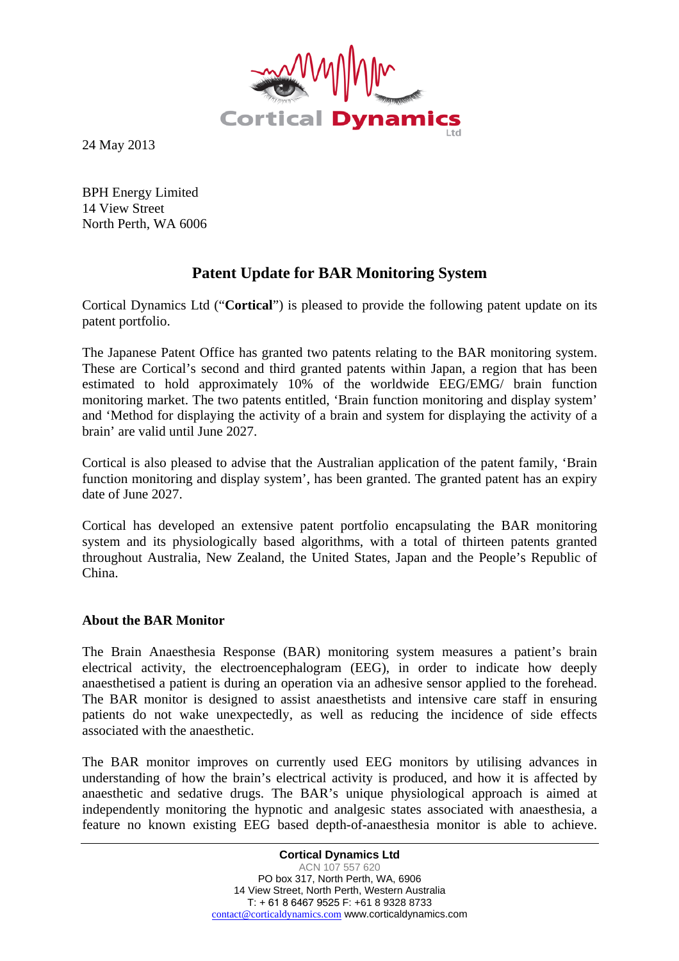

24 May 2013

BPH Energy Limited 14 View Street North Perth, WA 6006

# **Patent Update for BAR Monitoring System**

Cortical Dynamics Ltd ("**Cortical**") is pleased to provide the following patent update on its patent portfolio.

The Japanese Patent Office has granted two patents relating to the BAR monitoring system. These are Cortical's second and third granted patents within Japan, a region that has been estimated to hold approximately 10% of the worldwide EEG/EMG/ brain function monitoring market. The two patents entitled, 'Brain function monitoring and display system' and 'Method for displaying the activity of a brain and system for displaying the activity of a brain' are valid until June 2027.

Cortical is also pleased to advise that the Australian application of the patent family, 'Brain function monitoring and display system', has been granted. The granted patent has an expiry date of June 2027.

Cortical has developed an extensive patent portfolio encapsulating the BAR monitoring system and its physiologically based algorithms, with a total of thirteen patents granted throughout Australia, New Zealand, the United States, Japan and the People's Republic of China.

### **About the BAR Monitor**

The Brain Anaesthesia Response (BAR) monitoring system measures a patient's brain electrical activity, the electroencephalogram (EEG), in order to indicate how deeply anaesthetised a patient is during an operation via an adhesive sensor applied to the forehead. The BAR monitor is designed to assist anaesthetists and intensive care staff in ensuring patients do not wake unexpectedly, as well as reducing the incidence of side effects associated with the anaesthetic.

The BAR monitor improves on currently used EEG monitors by utilising advances in understanding of how the brain's electrical activity is produced, and how it is affected by anaesthetic and sedative drugs. The BAR's unique physiological approach is aimed at independently monitoring the hypnotic and analgesic states associated with anaesthesia, a feature no known existing EEG based depth-of-anaesthesia monitor is able to achieve.